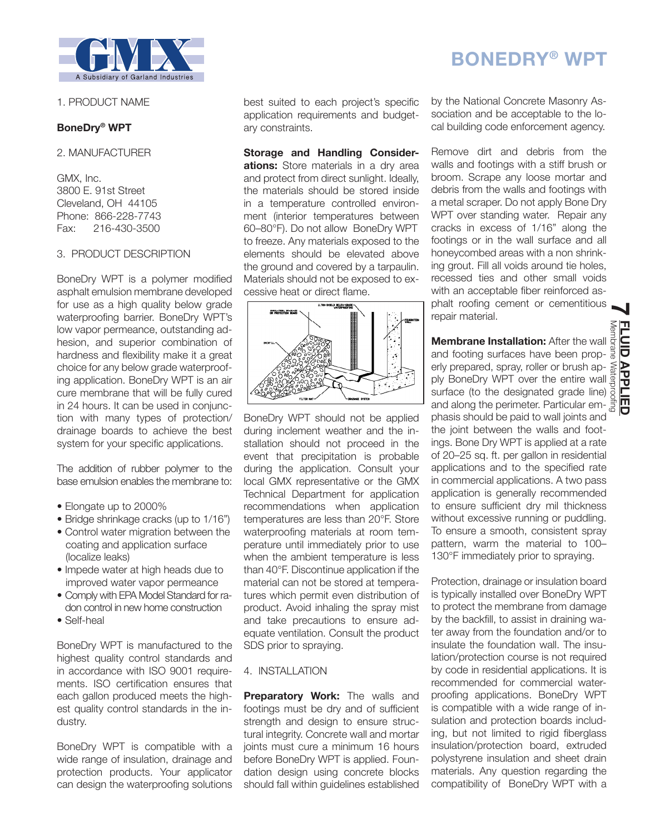

## 1. PRODUCT NAME

# **BoneDry® WPT**

2. MANUFACTURER

GMX, Inc. 3800 E. 91st Street Cleveland, OH 44105 Phone: 866-228-7743 Fax: 216-430-3500

## 3. PRODUCT DESCRIPTION

BoneDry WPT is a polymer modified asphalt emulsion membrane developed for use as a high quality below grade waterproofing barrier. BoneDry WPT's low vapor permeance, outstanding adhesion, and superior combination of hardness and flexibility make it a great choice for any below grade waterproofing application. BoneDry WPT is an air cure membrane that will be fully cured in 24 hours. It can be used in conjunction with many types of protection/ drainage boards to achieve the best system for your specific applications.

The addition of rubber polymer to the base emulsion enables the membrane to:

- Elongate up to 2000%
- Bridge shrinkage cracks (up to 1/16")
- Control water migration between the coating and application surface (localize leaks)
- Impede water at high heads due to improved water vapor permeance
- Comply with EPA Model Standard for radon control in new home construction
- Self-heal

BoneDry WPT is manufactured to the highest quality control standards and in accordance with ISO 9001 requirements. ISO certification ensures that each gallon produced meets the highest quality control standards in the industry.

BoneDry WPT is compatible with a wide range of insulation, drainage and protection products. Your applicator can design the waterproofing solutions

best suited to each project's specific application requirements and budgetary constraints.

**Storage and Handling Considerations:** Store materials in a dry area and protect from direct sunlight. Ideally, the materials should be stored inside in a temperature controlled environment (interior temperatures between 60–80°F). Do not allow BoneDry WPT to freeze. Any materials exposed to the elements should be elevated above the ground and covered by a tarpaulin. Materials should not be exposed to excessive heat or direct flame.



BoneDry WPT should not be applied during inclement weather and the installation should not proceed in the event that precipitation is probable during the application. Consult your local GMX representative or the GMX Technical Department for application recommendations when application temperatures are less than 20°F. Store waterproofing materials at room temperature until immediately prior to use when the ambient temperature is less than 40°F. Discontinue application if the material can not be stored at temperatures which permit even distribution of product. Avoid inhaling the spray mist and take precautions to ensure adequate ventilation. Consult the product SDS prior to spraying.

## 4. INSTALLATION

**Preparatory Work:** The walls and footings must be dry and of sufficient strength and design to ensure structural integrity. Concrete wall and mortar joints must cure a minimum 16 hours before BoneDry WPT is applied. Foundation design using concrete blocks should fall within guidelines established

# by the National Concrete Masonry Association and be acceptable to the local building code enforcement agency.

**BONEDRY® WPT**

Remove dirt and debris from the walls and footings with a stiff brush or broom. Scrape any loose mortar and debris from the walls and footings with a metal scraper. Do not apply Bone Dry WPT over standing water. Repair any cracks in excess of 1/16" along the footings or in the wall surface and all honeycombed areas with a non shrinking grout. Fill all voids around tie holes, recessed ties and other small voids with an acceptable fiber reinforced asphalt roofing cement or cementitious repair material.

**Membrane Installation:** After the wall and footing surfaces have been properly prepared, spray, roller or brush ap- $\lessapprox$ ply BoneDry WPT over the entire wall surface (to the designated grade line) and along the perimeter. Particular emphasis should be paid to wall joints and the joint between the walls and footings. Bone Dry WPT is applied at a rate of 20–25 sq. ft. per gallon in residential applications and to the specified rate in commercial applications. A two pass application is generally recommended to ensure sufficient dry mil thickness without excessive running or puddling. To ensure a smooth, consistent spray pattern, warm the material to 100– 130°F immediately prior to spraying.

Protection, drainage or insulation board is typically installed over BoneDry WPT to protect the membrane from damage by the backfill, to assist in draining water away from the foundation and/or to insulate the foundation wall. The insulation/protection course is not required by code in residential applications. It is recommended for commercial waterproofing applications. BoneDry WPT is compatible with a wide range of insulation and protection boards including, but not limited to rigid fiberglass insulation/protection board, extruded polystyrene insulation and sheet drain materials. Any question regarding the compatibility of BoneDry WPT with a

**7**